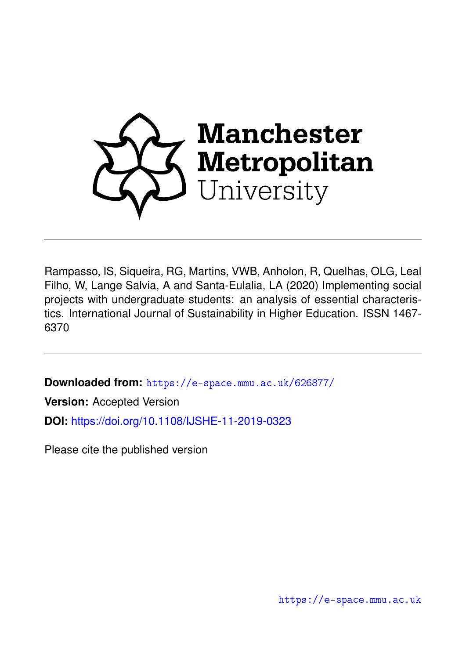

Rampasso, IS, Siqueira, RG, Martins, VWB, Anholon, R, Quelhas, OLG, Leal Filho, W, Lange Salvia, A and Santa-Eulalia, LA (2020) Implementing social projects with undergraduate students: an analysis of essential characteristics. International Journal of Sustainability in Higher Education. ISSN 1467- 6370

**Downloaded from:** <https://e-space.mmu.ac.uk/626877/>

**Version:** Accepted Version

**DOI:** <https://doi.org/10.1108/IJSHE-11-2019-0323>

Please cite the published version

<https://e-space.mmu.ac.uk>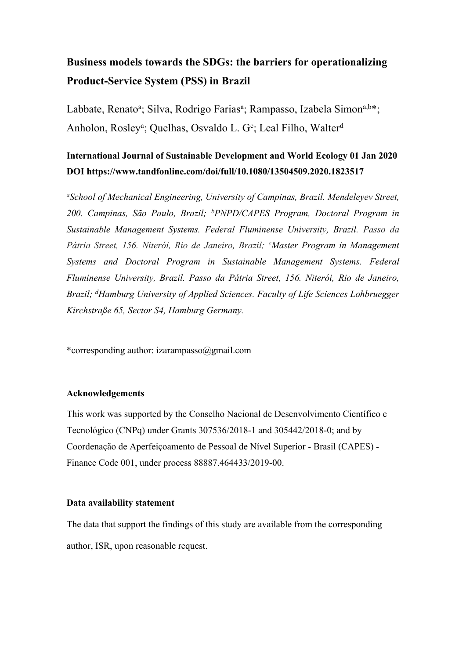# **Business models towards the SDGs: the barriers for operationalizing Product-Service System (PSS) in Brazil**

Labbate, Renato<sup>a</sup>; Silva, Rodrigo Farias<sup>a</sup>; Rampasso, Izabela Simon<sup>a,b\*</sup>; Anholon, Rosley<sup>a</sup>; Quelhas, Osvaldo L. G<sup>c</sup>; Leal Filho, Walter<sup>d</sup>

# **International Journal of Sustainable Development and World Ecology 01 Jan 2020 DOI https://www.tandfonline.com/doi/full/10.1080/13504509.2020.1823517**

*<sup>a</sup>School of Mechanical Engineering, University of Campinas, Brazil. Mendeleyev Street, 200. Campinas, São Paulo, Brazil; <sup>b</sup>PNPD/CAPES Program, Doctoral Program in Sustainable Management Systems. Federal Fluminense University, Brazil. Passo da Pátria Street, 156. Niterói, Rio de Janeiro, Brazil; <sup>c</sup>Master Program in Management Systems and Doctoral Program in Sustainable Management Systems. Federal Fluminense University, Brazil. Passo da Pátria Street, 156. Niterói, Rio de Janeiro, Brazil; <sup>d</sup>Hamburg University of Applied Sciences. Faculty of Life Sciences Lohbruegger Kirchstraße 65, Sector S4, Hamburg Germany.*

\*corresponding author: izarampasso@gmail.com

# **Acknowledgements**

This work was supported by the Conselho Nacional de Desenvolvimento Científico e Tecnológico (CNPq) under Grants 307536/2018-1 and 305442/2018-0; and by Coordenação de Aperfeiçoamento de Pessoal de Nível Superior - Brasil (CAPES) - Finance Code 001, under process 88887.464433/2019-00.

# **Data availability statement**

The data that support the findings of this study are available from the corresponding author, ISR, upon reasonable request.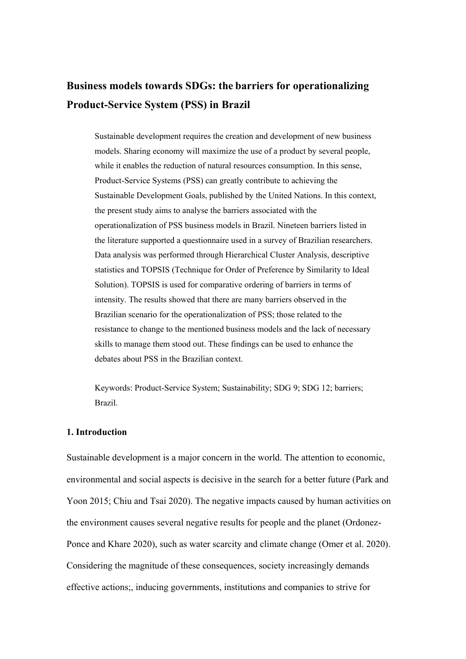# **Business models towards SDGs: the barriers for operationalizing Product-Service System (PSS) in Brazil**

Sustainable development requires the creation and development of new business models. Sharing economy will maximize the use of a product by several people, while it enables the reduction of natural resources consumption. In this sense, Product-Service Systems (PSS) can greatly contribute to achieving the Sustainable Development Goals, published by the United Nations. In this context, the present study aims to analyse the barriers associated with the operationalization of PSS business models in Brazil. Nineteen barriers listed in the literature supported a questionnaire used in a survey of Brazilian researchers. Data analysis was performed through Hierarchical Cluster Analysis, descriptive statistics and TOPSIS (Technique for Order of Preference by Similarity to Ideal Solution). TOPSIS is used for comparative ordering of barriers in terms of intensity. The results showed that there are many barriers observed in the Brazilian scenario for the operationalization of PSS; those related to the resistance to change to the mentioned business models and the lack of necessary skills to manage them stood out. These findings can be used to enhance the debates about PSS in the Brazilian context.

Keywords: Product-Service System; Sustainability; SDG 9; SDG 12; barriers; Brazil.

#### **1. Introduction**

Sustainable development is a major concern in the world. The attention to economic, environmental and social aspects is decisive in the search for a better future (Park and Yoon 2015; Chiu and Tsai 2020). The negative impacts caused by human activities on the environment causes several negative results for people and the planet (Ordonez-Ponce and Khare 2020), such as water scarcity and climate change (Omer et al. 2020). Considering the magnitude of these consequences, society increasingly demands effective actions;, inducing governments, institutions and companies to strive for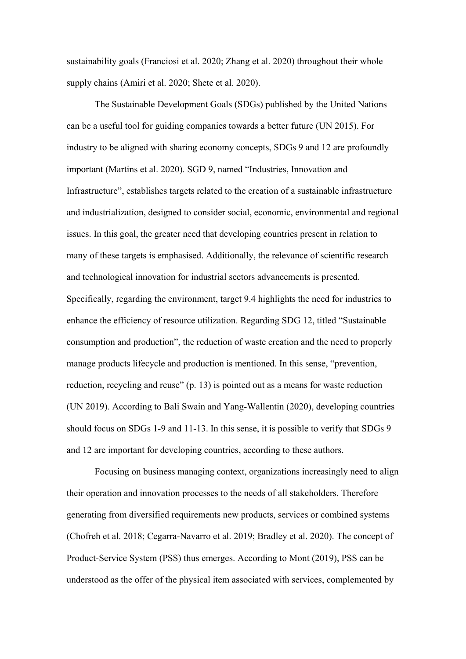sustainability goals (Franciosi et al. 2020; Zhang et al. 2020) throughout their whole supply chains (Amiri et al. 2020; Shete et al. 2020).

The Sustainable Development Goals (SDGs) published by the United Nations can be a useful tool for guiding companies towards a better future (UN 2015). For industry to be aligned with sharing economy concepts, SDGs 9 and 12 are profoundly important (Martins et al. 2020). SGD 9, named "Industries, Innovation and Infrastructure", establishes targets related to the creation of a sustainable infrastructure and industrialization, designed to consider social, economic, environmental and regional issues. In this goal, the greater need that developing countries present in relation to many of these targets is emphasised. Additionally, the relevance of scientific research and technological innovation for industrial sectors advancements is presented. Specifically, regarding the environment, target 9.4 highlights the need for industries to enhance the efficiency of resource utilization. Regarding SDG 12, titled "Sustainable consumption and production", the reduction of waste creation and the need to properly manage products lifecycle and production is mentioned. In this sense, "prevention, reduction, recycling and reuse" (p. 13) is pointed out as a means for waste reduction (UN 2019). According to Bali Swain and Yang-Wallentin (2020), developing countries should focus on SDGs 1-9 and 11-13. In this sense, it is possible to verify that SDGs 9 and 12 are important for developing countries, according to these authors.

Focusing on business managing context, organizations increasingly need to align their operation and innovation processes to the needs of all stakeholders. Therefore generating from diversified requirements new products, services or combined systems (Chofreh et al. 2018; Cegarra-Navarro et al. 2019; Bradley et al. 2020). The concept of Product-Service System (PSS) thus emerges. According to Mont (2019), PSS can be understood as the offer of the physical item associated with services, complemented by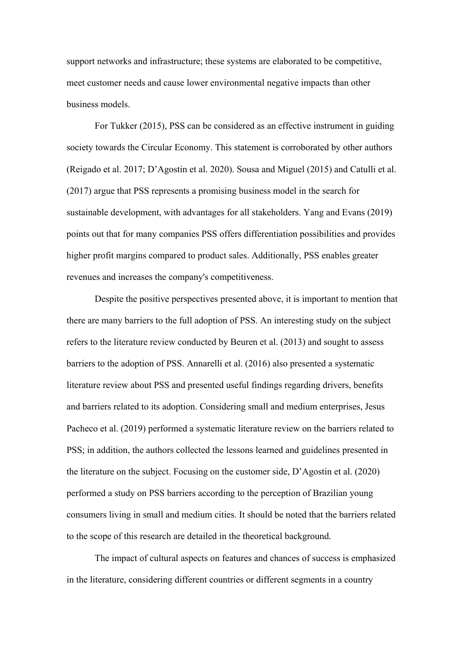support networks and infrastructure; these systems are elaborated to be competitive, meet customer needs and cause lower environmental negative impacts than other business models.

For Tukker (2015), PSS can be considered as an effective instrument in guiding society towards the Circular Economy. This statement is corroborated by other authors (Reigado et al. 2017; D'Agostin et al. 2020). Sousa and Miguel (2015) and Catulli et al. (2017) argue that PSS represents a promising business model in the search for sustainable development, with advantages for all stakeholders. Yang and Evans (2019) points out that for many companies PSS offers differentiation possibilities and provides higher profit margins compared to product sales. Additionally, PSS enables greater revenues and increases the company's competitiveness.

Despite the positive perspectives presented above, it is important to mention that there are many barriers to the full adoption of PSS. An interesting study on the subject refers to the literature review conducted by Beuren et al. (2013) and sought to assess barriers to the adoption of PSS. Annarelli et al. (2016) also presented a systematic literature review about PSS and presented useful findings regarding drivers, benefits and barriers related to its adoption. Considering small and medium enterprises, Jesus Pacheco et al. (2019) performed a systematic literature review on the barriers related to PSS; in addition, the authors collected the lessons learned and guidelines presented in the literature on the subject. Focusing on the customer side, D'Agostin et al. (2020) performed a study on PSS barriers according to the perception of Brazilian young consumers living in small and medium cities. It should be noted that the barriers related to the scope of this research are detailed in the theoretical background.

The impact of cultural aspects on features and chances of success is emphasized in the literature, considering different countries or different segments in a country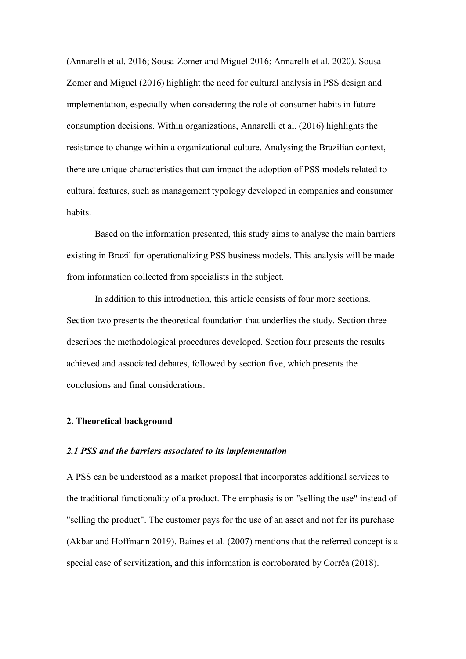(Annarelli et al. 2016; Sousa-Zomer and Miguel 2016; Annarelli et al. 2020). Sousa-Zomer and Miguel (2016) highlight the need for cultural analysis in PSS design and implementation, especially when considering the role of consumer habits in future consumption decisions. Within organizations, Annarelli et al. (2016) highlights the resistance to change within a organizational culture. Analysing the Brazilian context, there are unique characteristics that can impact the adoption of PSS models related to cultural features, such as management typology developed in companies and consumer habits.

Based on the information presented, this study aims to analyse the main barriers existing in Brazil for operationalizing PSS business models. This analysis will be made from information collected from specialists in the subject.

In addition to this introduction, this article consists of four more sections. Section two presents the theoretical foundation that underlies the study. Section three describes the methodological procedures developed. Section four presents the results achieved and associated debates, followed by section five, which presents the conclusions and final considerations.

## **2. Theoretical background**

#### *2.1 PSS and the barriers associated to its implementation*

A PSS can be understood as a market proposal that incorporates additional services to the traditional functionality of a product. The emphasis is on "selling the use" instead of "selling the product". The customer pays for the use of an asset and not for its purchase (Akbar and Hoffmann 2019). Baines et al. (2007) mentions that the referred concept is a special case of servitization, and this information is corroborated by Corrêa (2018).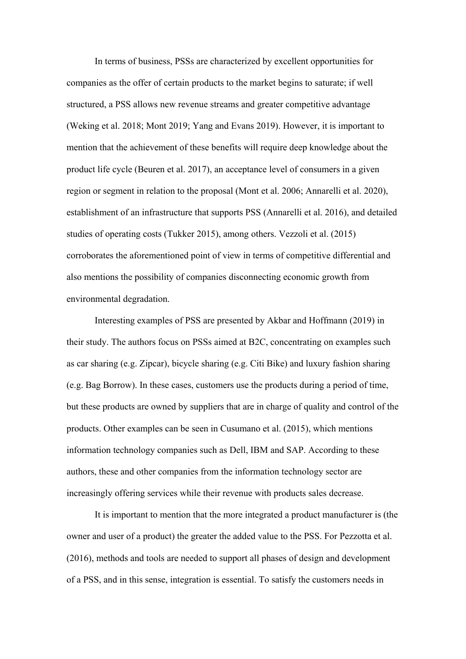In terms of business, PSSs are characterized by excellent opportunities for companies as the offer of certain products to the market begins to saturate; if well structured, a PSS allows new revenue streams and greater competitive advantage (Weking et al. 2018; Mont 2019; Yang and Evans 2019). However, it is important to mention that the achievement of these benefits will require deep knowledge about the product life cycle (Beuren et al. 2017), an acceptance level of consumers in a given region or segment in relation to the proposal (Mont et al. 2006; Annarelli et al. 2020), establishment of an infrastructure that supports PSS (Annarelli et al. 2016), and detailed studies of operating costs (Tukker 2015), among others. Vezzoli et al. (2015) corroborates the aforementioned point of view in terms of competitive differential and also mentions the possibility of companies disconnecting economic growth from environmental degradation.

Interesting examples of PSS are presented by Akbar and Hoffmann (2019) in their study. The authors focus on PSSs aimed at B2C, concentrating on examples such as car sharing (e.g. Zipcar), bicycle sharing (e.g. Citi Bike) and luxury fashion sharing (e.g. Bag Borrow). In these cases, customers use the products during a period of time, but these products are owned by suppliers that are in charge of quality and control of the products. Other examples can be seen in Cusumano et al. (2015), which mentions information technology companies such as Dell, IBM and SAP. According to these authors, these and other companies from the information technology sector are increasingly offering services while their revenue with products sales decrease.

It is important to mention that the more integrated a product manufacturer is (the owner and user of a product) the greater the added value to the PSS. For Pezzotta et al. (2016), methods and tools are needed to support all phases of design and development of a PSS, and in this sense, integration is essential. To satisfy the customers needs in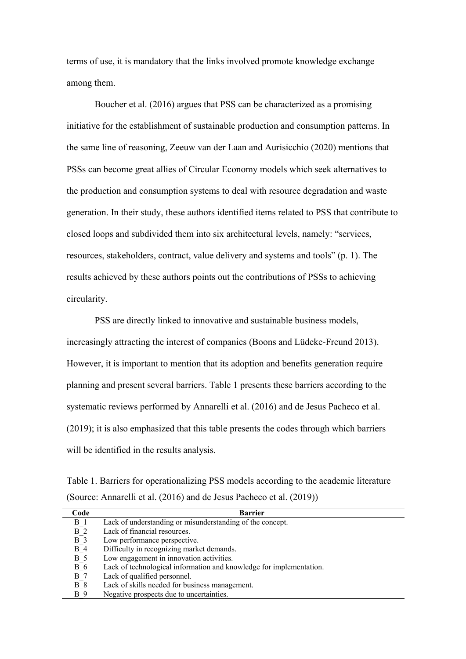terms of use, it is mandatory that the links involved promote knowledge exchange among them.

Boucher et al. (2016) argues that PSS can be characterized as a promising initiative for the establishment of sustainable production and consumption patterns. In the same line of reasoning, Zeeuw van der Laan and Aurisicchio (2020) mentions that PSSs can become great allies of Circular Economy models which seek alternatives to the production and consumption systems to deal with resource degradation and waste generation. In their study, these authors identified items related to PSS that contribute to closed loops and subdivided them into six architectural levels, namely: "services, resources, stakeholders, contract, value delivery and systems and tools" (p. 1). The results achieved by these authors points out the contributions of PSSs to achieving circularity.

PSS are directly linked to innovative and sustainable business models, increasingly attracting the interest of companies (Boons and Lüdeke-Freund 2013). However, it is important to mention that its adoption and benefits generation require planning and present several barriers. Table 1 presents these barriers according to the systematic reviews performed by Annarelli et al. (2016) and de Jesus Pacheco et al. (2019); it is also emphasized that this table presents the codes through which barriers will be identified in the results analysis.

Table 1. Barriers for operationalizing PSS models according to the academic literature (Source: Annarelli et al. (2016) and de Jesus Pacheco et al. (2019))

| Code    | <b>Barrier</b>                                                      |
|---------|---------------------------------------------------------------------|
| $B_1$   | Lack of understanding or misunderstanding of the concept.           |
| $B_2$   | Lack of financial resources.                                        |
| $B_3$   | Low performance perspective.                                        |
| $B_4$   | Difficulty in recognizing market demands.                           |
| $B_{5}$ | Low engagement in innovation activities.                            |
| $B_6$   | Lack of technological information and knowledge for implementation. |
| $B_7$   | Lack of qualified personnel.                                        |
| $B_8$   | Lack of skills needed for business management.                      |
| B 9     | Negative prospects due to uncertainties.                            |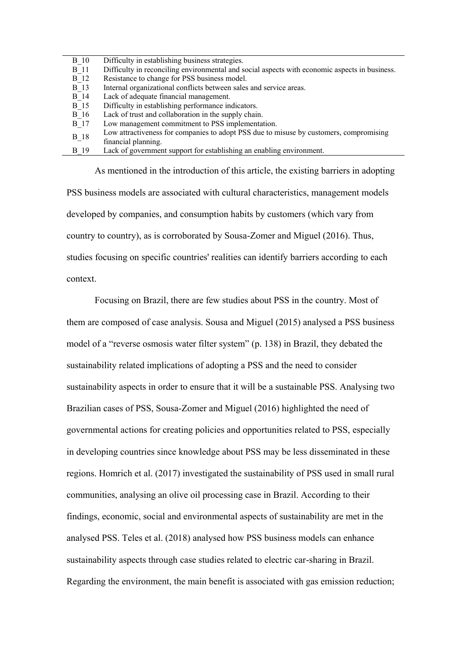| <b>B</b> 10 | Difficulty in establishing business strategies.                                               |
|-------------|-----------------------------------------------------------------------------------------------|
| <b>B</b> 11 | Difficulty in reconciling environmental and social aspects with economic aspects in business. |
| <b>B</b> 12 | Resistance to change for PSS business model.                                                  |
| <b>B</b> 13 | Internal organizational conflicts between sales and service areas.                            |
| $B_14$      | Lack of adequate financial management.                                                        |
| <b>B</b> 15 | Difficulty in establishing performance indicators.                                            |
| $B_16$      | Lack of trust and collaboration in the supply chain.                                          |
| <b>B</b> 17 | Low management commitment to PSS implementation.                                              |
| $B_18$      | Low attractiveness for companies to adopt PSS due to misuse by customers, compromising        |
|             | financial planning.                                                                           |
| B 19        | Lack of government support for establishing an enabling environment.                          |

As mentioned in the introduction of this article, the existing barriers in adopting PSS business models are associated with cultural characteristics, management models developed by companies, and consumption habits by customers (which vary from country to country), as is corroborated by Sousa-Zomer and Miguel (2016). Thus, studies focusing on specific countries' realities can identify barriers according to each context.

Focusing on Brazil, there are few studies about PSS in the country. Most of them are composed of case analysis. Sousa and Miguel (2015) analysed a PSS business model of a "reverse osmosis water filter system" (p. 138) in Brazil, they debated the sustainability related implications of adopting a PSS and the need to consider sustainability aspects in order to ensure that it will be a sustainable PSS. Analysing two Brazilian cases of PSS, Sousa-Zomer and Miguel (2016) highlighted the need of governmental actions for creating policies and opportunities related to PSS, especially in developing countries since knowledge about PSS may be less disseminated in these regions. Homrich et al. (2017) investigated the sustainability of PSS used in small rural communities, analysing an olive oil processing case in Brazil. According to their findings, economic, social and environmental aspects of sustainability are met in the analysed PSS. Teles et al. (2018) analysed how PSS business models can enhance sustainability aspects through case studies related to electric car-sharing in Brazil. Regarding the environment, the main benefit is associated with gas emission reduction;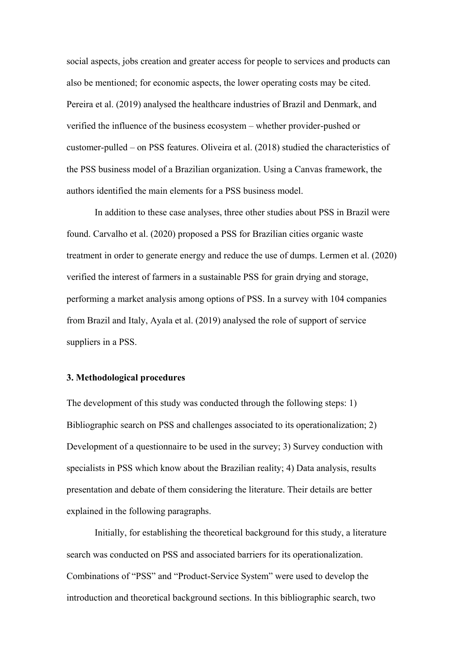social aspects, jobs creation and greater access for people to services and products can also be mentioned; for economic aspects, the lower operating costs may be cited. Pereira et al. (2019) analysed the healthcare industries of Brazil and Denmark, and verified the influence of the business ecosystem – whether provider-pushed or customer-pulled – on PSS features. Oliveira et al. (2018) studied the characteristics of the PSS business model of a Brazilian organization. Using a Canvas framework, the authors identified the main elements for a PSS business model.

In addition to these case analyses, three other studies about PSS in Brazil were found. Carvalho et al. (2020) proposed a PSS for Brazilian cities organic waste treatment in order to generate energy and reduce the use of dumps. Lermen et al. (2020) verified the interest of farmers in a sustainable PSS for grain drying and storage, performing a market analysis among options of PSS. In a survey with 104 companies from Brazil and Italy, Ayala et al. (2019) analysed the role of support of service suppliers in a PSS.

## **3. Methodological procedures**

The development of this study was conducted through the following steps: 1) Bibliographic search on PSS and challenges associated to its operationalization; 2) Development of a questionnaire to be used in the survey; 3) Survey conduction with specialists in PSS which know about the Brazilian reality; 4) Data analysis, results presentation and debate of them considering the literature. Their details are better explained in the following paragraphs.

Initially, for establishing the theoretical background for this study, a literature search was conducted on PSS and associated barriers for its operationalization. Combinations of "PSS" and "Product-Service System" were used to develop the introduction and theoretical background sections. In this bibliographic search, two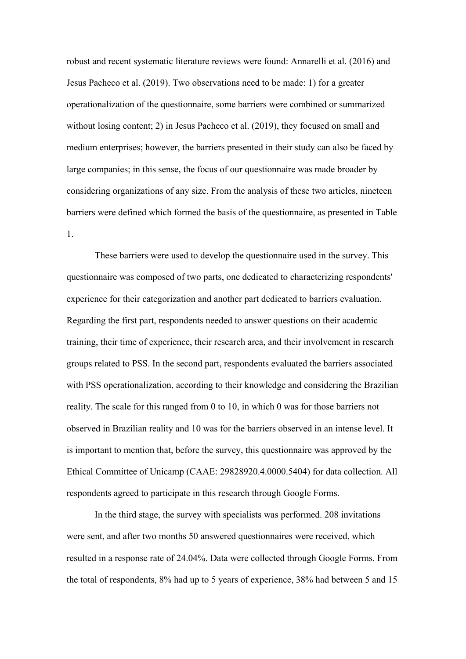robust and recent systematic literature reviews were found: Annarelli et al. (2016) and Jesus Pacheco et al. (2019). Two observations need to be made: 1) for a greater operationalization of the questionnaire, some barriers were combined or summarized without losing content; 2) in Jesus Pacheco et al. (2019), they focused on small and medium enterprises; however, the barriers presented in their study can also be faced by large companies; in this sense, the focus of our questionnaire was made broader by considering organizations of any size. From the analysis of these two articles, nineteen barriers were defined which formed the basis of the questionnaire, as presented in Table 1.

These barriers were used to develop the questionnaire used in the survey. This questionnaire was composed of two parts, one dedicated to characterizing respondents' experience for their categorization and another part dedicated to barriers evaluation. Regarding the first part, respondents needed to answer questions on their academic training, their time of experience, their research area, and their involvement in research groups related to PSS. In the second part, respondents evaluated the barriers associated with PSS operationalization, according to their knowledge and considering the Brazilian reality. The scale for this ranged from 0 to 10, in which 0 was for those barriers not observed in Brazilian reality and 10 was for the barriers observed in an intense level. It is important to mention that, before the survey, this questionnaire was approved by the Ethical Committee of Unicamp (CAAE: 29828920.4.0000.5404) for data collection. All respondents agreed to participate in this research through Google Forms.

In the third stage, the survey with specialists was performed. 208 invitations were sent, and after two months 50 answered questionnaires were received, which resulted in a response rate of 24.04%. Data were collected through Google Forms. From the total of respondents, 8% had up to 5 years of experience, 38% had between 5 and 15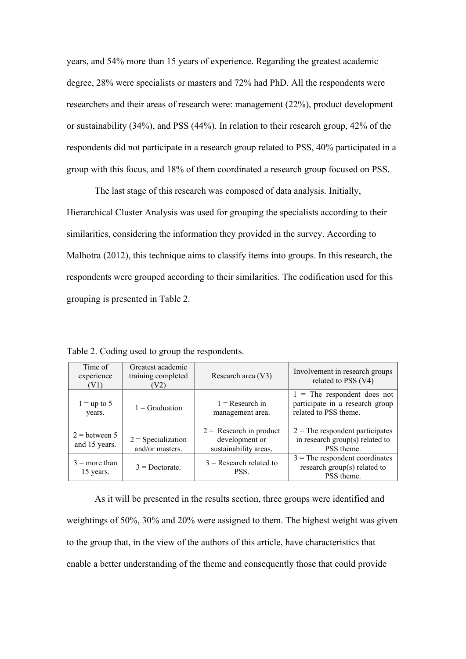years, and 54% more than 15 years of experience. Regarding the greatest academic degree, 28% were specialists or masters and 72% had PhD. All the respondents were researchers and their areas of research were: management (22%), product development or sustainability (34%), and PSS (44%). In relation to their research group, 42% of the respondents did not participate in a research group related to PSS, 40% participated in a group with this focus, and 18% of them coordinated a research group focused on PSS.

The last stage of this research was composed of data analysis. Initially, Hierarchical Cluster Analysis was used for grouping the specialists according to their similarities, considering the information they provided in the survey. According to Malhotra (2012), this technique aims to classify items into groups. In this research, the respondents were grouped according to their similarities. The codification used for this grouping is presented in Table 2.

Time of experience (V1) Greatest academic training completed (V2) Research area  $(V3)$  Involvement in research groups related to PSS (V4)  $1 =$ up to 5 years.  $1 = \text{Gradient}$  1 = Research in management area. 1 = The respondent does not participate in a research group related to PSS theme.  $2 =$  between 5  $2 = \text{Specialization}$ <br>and 15 years.  $2 = \text{Specialization}$ and/or masters.  $2 =$  Research in product development or sustainability areas.  $2 =$ The respondent participates in research group(s) related to PSS theme.  $3 =$  more than = more than  $3$  = Doctorate.  $\begin{array}{|c|c|} \hline 3$  = Research related to PSS. PSS.  $3$  = The respondent coordinates research group(s) related to PSS theme.

Table 2. Coding used to group the respondents.

As it will be presented in the results section, three groups were identified and weightings of 50%, 30% and 20% were assigned to them. The highest weight was given to the group that, in the view of the authors of this article, have characteristics that enable a better understanding of the theme and consequently those that could provide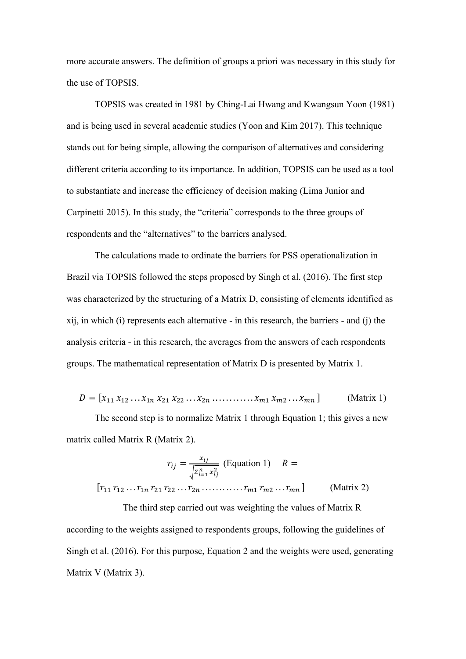more accurate answers. The definition of groups a priori was necessary in this study for the use of TOPSIS.

TOPSIS was created in 1981 by Ching-Lai Hwang and Kwangsun Yoon (1981) and is being used in several academic studies (Yoon and Kim 2017). This technique stands out for being simple, allowing the comparison of alternatives and considering different criteria according to its importance. In addition, TOPSIS can be used as a tool to substantiate and increase the efficiency of decision making (Lima Junior and Carpinetti 2015). In this study, the "criteria" corresponds to the three groups of respondents and the "alternatives" to the barriers analysed.

The calculations made to ordinate the barriers for PSS operationalization in Brazil via TOPSIS followed the steps proposed by Singh et al. (2016). The first step was characterized by the structuring of a Matrix D, consisting of elements identified as xij, in which (i) represents each alternative - in this research, the barriers - and (j) the analysis criteria - in this research, the averages from the answers of each respondents groups. The mathematical representation of Matrix D is presented by Matrix 1.

$$
D = [x_{11} x_{12} ... x_{1n} x_{21} x_{22} ... x_{2n} ... ... x_{m1} x_{m2} ... x_{mn}]
$$
 (Matrix 1)

The second step is to normalize Matrix 1 through Equation 1; this gives a new matrix called Matrix R (Matrix 2).

$$
r_{ij} = \frac{x_{ij}}{\sqrt{\sum_{i=1}^{n} x_{ij}^2}}
$$
 (Equation 1)  $R =$   
[ $r_{11} r_{12} ... r_{1n} r_{21} r_{22} ... r_{2n} ... ... r_{m1} r_{m2} ... r_{mn}$ ] (Matrix 2)  
The third step carried out was weighting the values of Matrix R

according to the weights assigned to respondents groups, following the guidelines of Singh et al. (2016). For this purpose, Equation 2 and the weights were used, generating Matrix V (Matrix 3).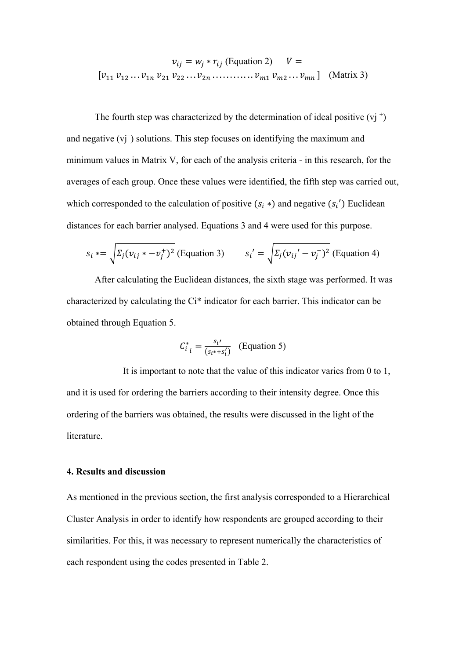$$
v_{ij} = w_j * r_{ij}
$$
 (Equation 2)  $V =$   
[ $v_{11} v_{12} ... v_{1n} v_{21} v_{22} ... v_{2n} ... ... v_{m1} v_{m2} ... v_{mn}$ ] (Matrix 3)

The fourth step was characterized by the determination of ideal positive  $(vj^+)$ and negative (vj<sup>−</sup> ) solutions. This step focuses on identifying the maximum and minimum values in Matrix V, for each of the analysis criteria - in this research, for the averages of each group. Once these values were identified, the fifth step was carried out, which corresponded to the calculation of positive  $(s_i^*)$  and negative  $(s_i^{\prime})$  Euclidean distances for each barrier analysed. Equations 3 and 4 were used for this purpose.

$$
s_i \ast = \sqrt{\Sigma_j (v_{ij} \ast -v_j^+)^2}
$$
 (Equation 3) 
$$
s_i' = \sqrt{\Sigma_j (v_{ij}' - v_j^-)^2}
$$
 (Equation 4)

After calculating the Euclidean distances, the sixth stage was performed. It was characterized by calculating the Ci\* indicator for each barrier. This indicator can be obtained through Equation 5.

$$
C_{i\ i}^* = \frac{s_{i'} }{(s_{i^*} + s_i')} \quad \text{(Equation 5)}
$$

It is important to note that the value of this indicator varies from 0 to 1, and it is used for ordering the barriers according to their intensity degree. Once this ordering of the barriers was obtained, the results were discussed in the light of the literature.

### **4. Results and discussion**

As mentioned in the previous section, the first analysis corresponded to a Hierarchical Cluster Analysis in order to identify how respondents are grouped according to their similarities. For this, it was necessary to represent numerically the characteristics of each respondent using the codes presented in Table 2.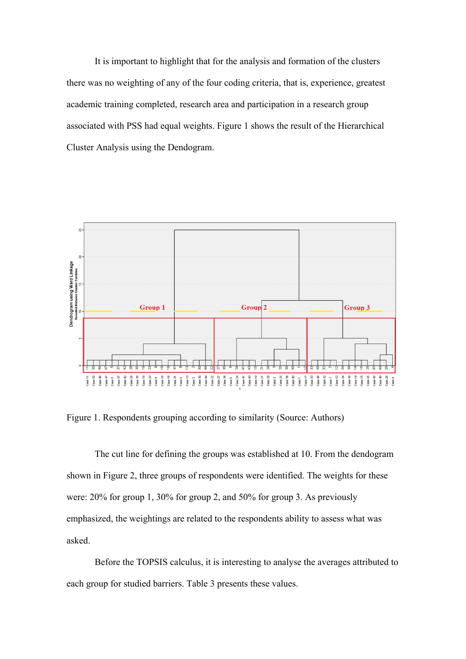It is important to highlight that for the analysis and formation of the clusters there was no weighting of any of the four coding criteria, that is, experience, greatest academic training completed, research area and participation in a research group associated with PSS had equal weights. Figure 1 shows the result of the Hierarchical Cluster Analysis using the Dendogram.



Figure 1. Respondents grouping according to similarity (Source: Authors)

The cut line for defining the groups was established at 10. From the dendogram shown in Figure 2, three groups of respondents were identified. The weights for these were: 20% for group 1, 30% for group 2, and 50% for group 3. As previously emphasized, the weightings are related to the respondents ability to assess what was asked.

Before the TOPSIS calculus, it is interesting to analyse the averages attributed to each group for studied barriers. Table 3 presents these values.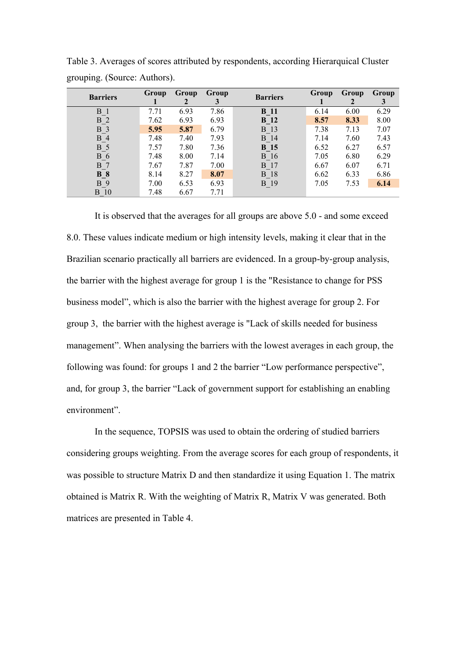| <b>Barriers</b> | <b>Group</b> | Group | Group | <b>Barriers</b> | <b>Group</b> | Group | Group |
|-----------------|--------------|-------|-------|-----------------|--------------|-------|-------|
| B               | 7.71         | 6.93  | 7.86  | <b>B</b> 11     | 6.14         | 6.00  | 6.29  |
| <b>B</b> 2      | 7.62         | 6.93  | 6.93  | <b>B</b> 12     | 8.57         | 8.33  | 8.00  |
| <b>B</b> 3      | 5.95         | 5.87  | 6.79  | B 13            | 7.38         | 7.13  | 7.07  |
| $B_4$           | 7.48         | 7.40  | 7.93  | <b>B</b> 14     | 7.14         | 7.60  | 7.43  |
| <b>B</b> 5      | 7.57         | 7.80  | 7.36  | <b>B</b> 15     | 6.52         | 6.27  | 6.57  |
| <b>B</b> 6      | 7.48         | 8.00  | 7.14  | <b>B</b> 16     | 7.05         | 6.80  | 6.29  |
| <b>B</b> 7      | 7.67         | 7.87  | 7.00  | <b>B</b> 17     | 6.67         | 6.07  | 6.71  |
| <b>B</b> 8      | 8.14         | 8.27  | 8.07  | <b>B</b> 18     | 6.62         | 6.33  | 6.86  |
| <b>B</b> 9      | 7.00         | 6.53  | 6.93  | <b>B</b> 19     | 7.05         | 7.53  | 6.14  |
| 10<br>B.        | 7.48         | 6.67  | 7.71  |                 |              |       |       |

Table 3. Averages of scores attributed by respondents, according Hierarquical Cluster grouping. (Source: Authors).

It is observed that the averages for all groups are above 5.0 - and some exceed 8.0. These values indicate medium or high intensity levels, making it clear that in the Brazilian scenario practically all barriers are evidenced. In a group-by-group analysis, the barrier with the highest average for group 1 is the "Resistance to change for PSS business model", which is also the barrier with the highest average for group 2. For group 3, the barrier with the highest average is "Lack of skills needed for business management". When analysing the barriers with the lowest averages in each group, the following was found: for groups 1 and 2 the barrier "Low performance perspective", and, for group 3, the barrier "Lack of government support for establishing an enabling environment".

In the sequence, TOPSIS was used to obtain the ordering of studied barriers considering groups weighting. From the average scores for each group of respondents, it was possible to structure Matrix D and then standardize it using Equation 1. The matrix obtained is Matrix R. With the weighting of Matrix R, Matrix V was generated. Both matrices are presented in Table 4.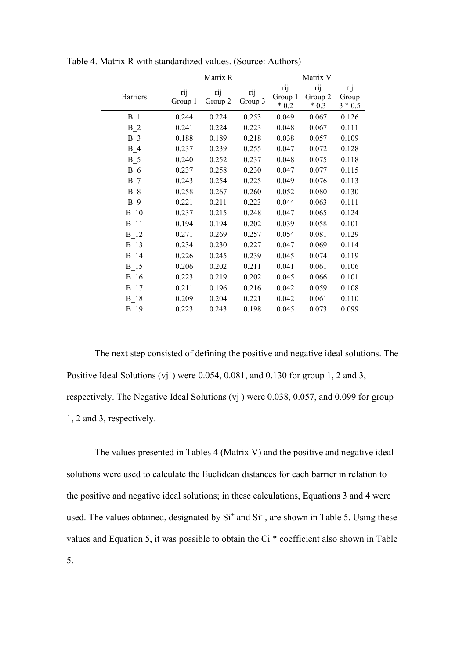|                 | Matrix R       |                |                |                           | Matrix V                 |                           |
|-----------------|----------------|----------------|----------------|---------------------------|--------------------------|---------------------------|
| <b>Barriers</b> | rij<br>Group 1 | rij<br>Group 2 | rij<br>Group 3 | rij<br>Group 1<br>$* 0.2$ | rij<br>Group 2<br>$*0.3$ | rij<br>Group<br>$3 * 0.5$ |
| $B_1$           | 0.244          | 0.224          | 0.253          | 0.049                     | 0.067                    | 0.126                     |
| $B_2$           | 0.241          | 0.224          | 0.223          | 0.048                     | 0.067                    | 0.111                     |
| $B_3$           | 0.188          | 0.189          | 0.218          | 0.038                     | 0.057                    | 0.109                     |
| $B_4$           | 0.237          | 0.239          | 0.255          | 0.047                     | 0.072                    | 0.128                     |
| $B_5$           | 0.240          | 0.252          | 0.237          | 0.048                     | 0.075                    | 0.118                     |
| $B_6$           | 0.237          | 0.258          | 0.230          | 0.047                     | 0.077                    | 0.115                     |
| $B_7$           | 0.243          | 0.254          | 0.225          | 0.049                     | 0.076                    | 0.113                     |
| $B_8$           | 0.258          | 0.267          | 0.260          | 0.052                     | 0.080                    | 0.130                     |
| $B_9$           | 0.221          | 0.211          | 0.223          | 0.044                     | 0.063                    | 0.111                     |
| $B_10$          | 0.237          | 0.215          | 0.248          | 0.047                     | 0.065                    | 0.124                     |
| $B_11$          | 0.194          | 0.194          | 0.202          | 0.039                     | 0.058                    | 0.101                     |
| $B_12$          | 0.271          | 0.269          | 0.257          | 0.054                     | 0.081                    | 0.129                     |
| $B_13$          | 0.234          | 0.230          | 0.227          | 0.047                     | 0.069                    | 0.114                     |
| $B_14$          | 0.226          | 0.245          | 0.239          | 0.045                     | 0.074                    | 0.119                     |
| $B_15$          | 0.206          | 0.202          | 0.211          | 0.041                     | 0.061                    | 0.106                     |
| $B_16$          | 0.223          | 0.219          | 0.202          | 0.045                     | 0.066                    | 0.101                     |
| $B_17$          | 0.211          | 0.196          | 0.216          | 0.042                     | 0.059                    | 0.108                     |
| $B_18$          | 0.209          | 0.204          | 0.221          | 0.042                     | 0.061                    | 0.110                     |
| B 19            | 0.223          | 0.243          | 0.198          | 0.045                     | 0.073                    | 0.099                     |

Table 4. Matrix R with standardized values. (Source: Authors)

The next step consisted of defining the positive and negative ideal solutions. The Positive Ideal Solutions  $(vj^+)$  were 0.054, 0.081, and 0.130 for group 1, 2 and 3, respectively. The Negative Ideal Solutions (vj<sup>-</sup>) were 0.038, 0.057, and 0.099 for group 1, 2 and 3, respectively.

The values presented in Tables 4 (Matrix V) and the positive and negative ideal solutions were used to calculate the Euclidean distances for each barrier in relation to the positive and negative ideal solutions; in these calculations, Equations 3 and 4 were used. The values obtained, designated by  $Si<sup>+</sup>$  and  $Si<sup>-</sup>$ , are shown in Table 5. Using these values and Equation 5, it was possible to obtain the Ci \* coefficient also shown in Table 5.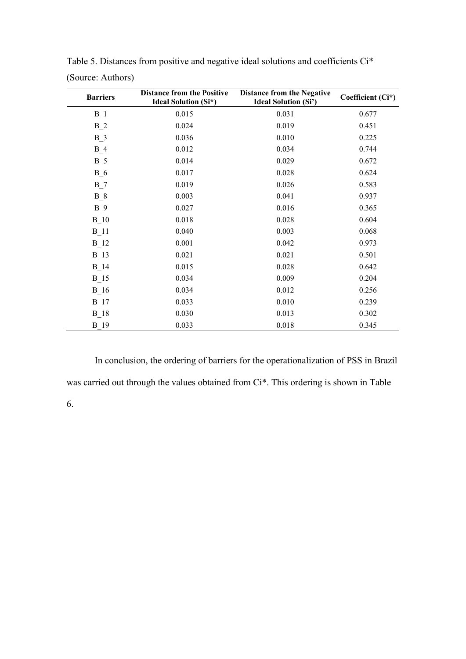| <b>Barriers</b> | <b>Distance from the Positive</b><br><b>Ideal Solution (Si*)</b> | <b>Distance from the Negative</b><br><b>Ideal Solution (Si')</b> | Coefficient (Ci*) |
|-----------------|------------------------------------------------------------------|------------------------------------------------------------------|-------------------|
| $B_1$           | 0.015                                                            | 0.031                                                            | 0.677             |
| $B_2$           | 0.024                                                            | 0.019                                                            | 0.451             |
| $B_3$           | 0.036                                                            | 0.010                                                            | 0.225             |
| $B_4$           | 0.012                                                            | 0.034                                                            | 0.744             |
| $B_5$           | 0.014                                                            | 0.029                                                            | 0.672             |
| $B_6$           | 0.017                                                            | 0.028                                                            | 0.624             |
| $B_7$           | 0.019                                                            | 0.026                                                            | 0.583             |
| $B_8$           | 0.003                                                            | 0.041                                                            | 0.937             |
| $B_9$           | 0.027                                                            | 0.016                                                            | 0.365             |
| $B_1$ 0         | 0.018                                                            | 0.028                                                            | 0.604             |
| $B_11$          | 0.040                                                            | 0.003                                                            | 0.068             |
| $B_12$          | 0.001                                                            | 0.042                                                            | 0.973             |
| $B_13$          | 0.021                                                            | 0.021                                                            | 0.501             |
| $B_14$          | 0.015                                                            | 0.028                                                            | 0.642             |
| $B_15$          | 0.034                                                            | 0.009                                                            | 0.204             |
| $B_16$          | 0.034                                                            | 0.012                                                            | 0.256             |
| $B_17$          | 0.033                                                            | 0.010                                                            | 0.239             |
| $B_18$          | 0.030                                                            | 0.013                                                            | 0.302             |
| <b>B</b> 19     | 0.033                                                            | 0.018                                                            | 0.345             |

Table 5. Distances from positive and negative ideal solutions and coefficients Ci\* (Source: Authors)

In conclusion, the ordering of barriers for the operationalization of PSS in Brazil was carried out through the values obtained from Ci\*. This ordering is shown in Table 6.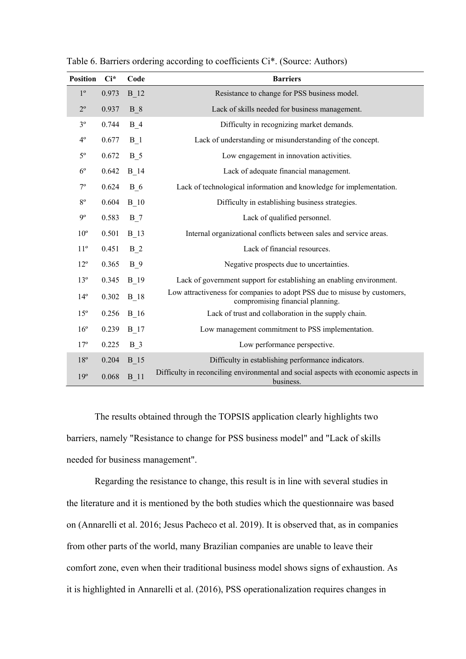| <b>Position</b> | $Ci^*$ | Code        | <b>Barriers</b>                                                                                               |
|-----------------|--------|-------------|---------------------------------------------------------------------------------------------------------------|
| $1^{\circ}$     | 0.973  | <b>B</b> 12 | Resistance to change for PSS business model.                                                                  |
| $2^{\circ}$     | 0.937  | <b>B</b> 8  | Lack of skills needed for business management.                                                                |
| 3 <sup>o</sup>  | 0.744  | $B_4$       | Difficulty in recognizing market demands.                                                                     |
| $4^{\circ}$     | 0.677  | <b>B</b> 1  | Lack of understanding or misunderstanding of the concept.                                                     |
| $5^{\rm o}$     | 0.672  | <b>B</b> 5  | Low engagement in innovation activities.                                                                      |
| $6^{\circ}$     | 0.642  | <b>B</b> 14 | Lack of adequate financial management.                                                                        |
| $7^{\circ}$     | 0.624  | <b>B</b> 6  | Lack of technological information and knowledge for implementation.                                           |
| $8^{\circ}$     | 0.604  | <b>B</b> 10 | Difficulty in establishing business strategies.                                                               |
| 9°              | 0.583  | $B_7$       | Lack of qualified personnel.                                                                                  |
| $10^{\circ}$    | 0.501  | <b>B</b> 13 | Internal organizational conflicts between sales and service areas.                                            |
| $11^{\circ}$    | 0.451  | $B_2$       | Lack of financial resources.                                                                                  |
| $12^{\circ}$    | 0.365  | $B_9$       | Negative prospects due to uncertainties.                                                                      |
| $13^{\circ}$    | 0.345  | <b>B</b> 19 | Lack of government support for establishing an enabling environment.                                          |
| $14^{\circ}$    | 0.302  | <b>B</b> 18 | Low attractiveness for companies to adopt PSS due to misuse by customers,<br>compromising financial planning. |
| 15 <sup>o</sup> | 0.256  | <b>B</b> 16 | Lack of trust and collaboration in the supply chain.                                                          |
| $16^{\circ}$    | 0.239  | <b>B</b> 17 | Low management commitment to PSS implementation.                                                              |
| $17^{\circ}$    | 0.225  | $B_3$       | Low performance perspective.                                                                                  |
| $18^{\circ}$    | 0.204  | <b>B</b> 15 | Difficulty in establishing performance indicators.                                                            |
| 19°             | 0.068  | <b>B</b> 11 | Difficulty in reconciling environmental and social aspects with economic aspects in<br>business.              |

Table 6. Barriers ordering according to coefficients Ci\*. (Source: Authors)

The results obtained through the TOPSIS application clearly highlights two barriers, namely "Resistance to change for PSS business model" and "Lack of skills needed for business management".

Regarding the resistance to change, this result is in line with several studies in the literature and it is mentioned by the both studies which the questionnaire was based on (Annarelli et al. 2016; Jesus Pacheco et al. 2019). It is observed that, as in companies from other parts of the world, many Brazilian companies are unable to leave their comfort zone, even when their traditional business model shows signs of exhaustion. As it is highlighted in Annarelli et al. (2016), PSS operationalization requires changes in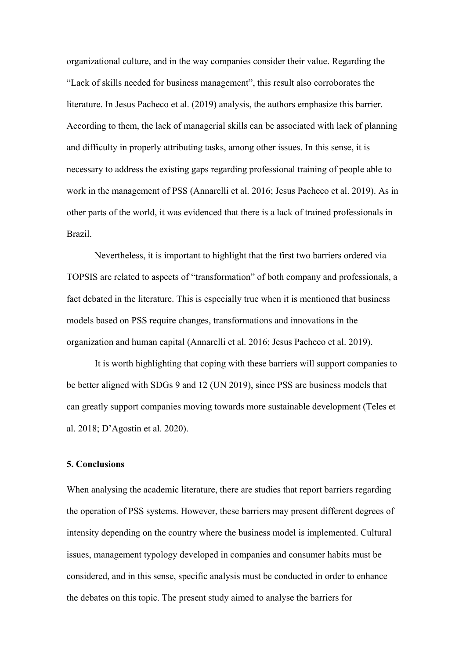organizational culture, and in the way companies consider their value. Regarding the "Lack of skills needed for business management", this result also corroborates the literature. In Jesus Pacheco et al. (2019) analysis, the authors emphasize this barrier. According to them, the lack of managerial skills can be associated with lack of planning and difficulty in properly attributing tasks, among other issues. In this sense, it is necessary to address the existing gaps regarding professional training of people able to work in the management of PSS (Annarelli et al. 2016; Jesus Pacheco et al. 2019). As in other parts of the world, it was evidenced that there is a lack of trained professionals in Brazil.

Nevertheless, it is important to highlight that the first two barriers ordered via TOPSIS are related to aspects of "transformation" of both company and professionals, a fact debated in the literature. This is especially true when it is mentioned that business models based on PSS require changes, transformations and innovations in the organization and human capital (Annarelli et al. 2016; Jesus Pacheco et al. 2019).

It is worth highlighting that coping with these barriers will support companies to be better aligned with SDGs 9 and 12 (UN 2019), since PSS are business models that can greatly support companies moving towards more sustainable development (Teles et al. 2018; D'Agostin et al. 2020).

### **5. Conclusions**

When analysing the academic literature, there are studies that report barriers regarding the operation of PSS systems. However, these barriers may present different degrees of intensity depending on the country where the business model is implemented. Cultural issues, management typology developed in companies and consumer habits must be considered, and in this sense, specific analysis must be conducted in order to enhance the debates on this topic. The present study aimed to analyse the barriers for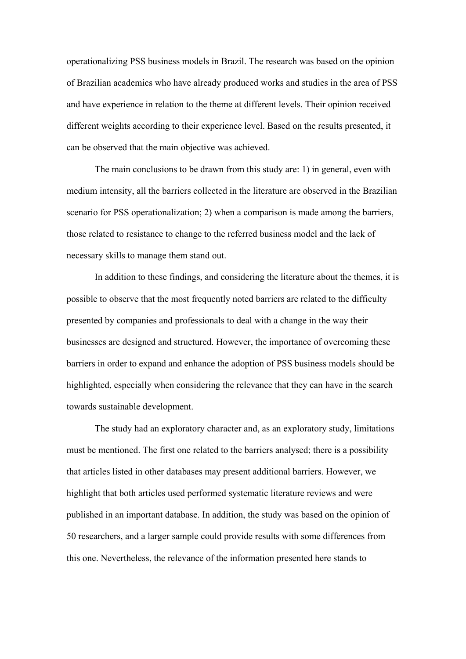operationalizing PSS business models in Brazil. The research was based on the opinion of Brazilian academics who have already produced works and studies in the area of PSS and have experience in relation to the theme at different levels. Their opinion received different weights according to their experience level. Based on the results presented, it can be observed that the main objective was achieved.

The main conclusions to be drawn from this study are: 1) in general, even with medium intensity, all the barriers collected in the literature are observed in the Brazilian scenario for PSS operationalization; 2) when a comparison is made among the barriers, those related to resistance to change to the referred business model and the lack of necessary skills to manage them stand out.

In addition to these findings, and considering the literature about the themes, it is possible to observe that the most frequently noted barriers are related to the difficulty presented by companies and professionals to deal with a change in the way their businesses are designed and structured. However, the importance of overcoming these barriers in order to expand and enhance the adoption of PSS business models should be highlighted, especially when considering the relevance that they can have in the search towards sustainable development.

The study had an exploratory character and, as an exploratory study, limitations must be mentioned. The first one related to the barriers analysed; there is a possibility that articles listed in other databases may present additional barriers. However, we highlight that both articles used performed systematic literature reviews and were published in an important database. In addition, the study was based on the opinion of 50 researchers, and a larger sample could provide results with some differences from this one. Nevertheless, the relevance of the information presented here stands to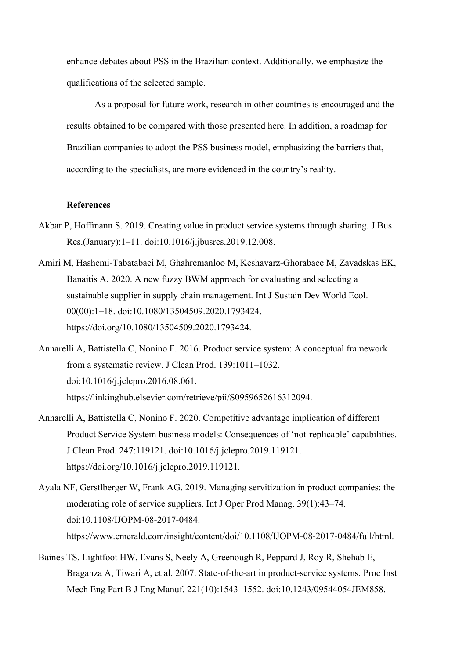enhance debates about PSS in the Brazilian context. Additionally, we emphasize the qualifications of the selected sample.

As a proposal for future work, research in other countries is encouraged and the results obtained to be compared with those presented here. In addition, a roadmap for Brazilian companies to adopt the PSS business model, emphasizing the barriers that, according to the specialists, are more evidenced in the country's reality.

#### **References**

- Akbar P, Hoffmann S. 2019. Creating value in product service systems through sharing. J Bus Res.(January):1–11. doi:10.1016/j.jbusres.2019.12.008.
- Amiri M, Hashemi-Tabatabaei M, Ghahremanloo M, Keshavarz-Ghorabaee M, Zavadskas EK, Banaitis A. 2020. A new fuzzy BWM approach for evaluating and selecting a sustainable supplier in supply chain management. Int J Sustain Dev World Ecol. 00(00):1–18. doi:10.1080/13504509.2020.1793424. https://doi.org/10.1080/13504509.2020.1793424.
- Annarelli A, Battistella C, Nonino F. 2016. Product service system: A conceptual framework from a systematic review. J Clean Prod. 139:1011–1032. doi:10.1016/j.jclepro.2016.08.061. https://linkinghub.elsevier.com/retrieve/pii/S0959652616312094.
- Annarelli A, Battistella C, Nonino F. 2020. Competitive advantage implication of different Product Service System business models: Consequences of 'not-replicable' capabilities. J Clean Prod. 247:119121. doi:10.1016/j.jclepro.2019.119121. https://doi.org/10.1016/j.jclepro.2019.119121.
- Ayala NF, Gerstlberger W, Frank AG. 2019. Managing servitization in product companies: the moderating role of service suppliers. Int J Oper Prod Manag. 39(1):43–74. doi:10.1108/IJOPM-08-2017-0484. https://www.emerald.com/insight/content/doi/10.1108/IJOPM-08-2017-0484/full/html.
- Baines TS, Lightfoot HW, Evans S, Neely A, Greenough R, Peppard J, Roy R, Shehab E, Braganza A, Tiwari A, et al. 2007. State-of-the-art in product-service systems. Proc Inst Mech Eng Part B J Eng Manuf. 221(10):1543–1552. doi:10.1243/09544054JEM858.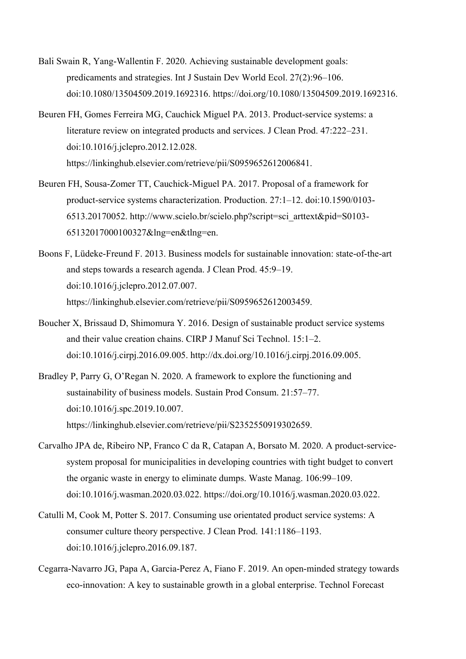- Bali Swain R, Yang-Wallentin F. 2020. Achieving sustainable development goals: predicaments and strategies. Int J Sustain Dev World Ecol. 27(2):96–106. doi:10.1080/13504509.2019.1692316. https://doi.org/10.1080/13504509.2019.1692316.
- Beuren FH, Gomes Ferreira MG, Cauchick Miguel PA. 2013. Product-service systems: a literature review on integrated products and services. J Clean Prod. 47:222–231. doi:10.1016/j.jclepro.2012.12.028. https://linkinghub.elsevier.com/retrieve/pii/S0959652612006841.
- Beuren FH, Sousa-Zomer TT, Cauchick-Miguel PA. 2017. Proposal of a framework for product-service systems characterization. Production. 27:1–12. doi:10.1590/0103- 6513.20170052. http://www.scielo.br/scielo.php?script=sci\_arttext&pid=S0103- 65132017000100327&lng=en&tlng=en.
- Boons F, Lüdeke-Freund F. 2013. Business models for sustainable innovation: state-of-the-art and steps towards a research agenda. J Clean Prod. 45:9–19. doi:10.1016/j.jclepro.2012.07.007. https://linkinghub.elsevier.com/retrieve/pii/S0959652612003459.
- Boucher X, Brissaud D, Shimomura Y. 2016. Design of sustainable product service systems and their value creation chains. CIRP J Manuf Sci Technol. 15:1–2. doi:10.1016/j.cirpj.2016.09.005. http://dx.doi.org/10.1016/j.cirpj.2016.09.005.
- Bradley P, Parry G, O'Regan N. 2020. A framework to explore the functioning and sustainability of business models. Sustain Prod Consum. 21:57–77. doi:10.1016/j.spc.2019.10.007. https://linkinghub.elsevier.com/retrieve/pii/S2352550919302659.
- Carvalho JPA de, Ribeiro NP, Franco C da R, Catapan A, Borsato M. 2020. A product-servicesystem proposal for municipalities in developing countries with tight budget to convert the organic waste in energy to eliminate dumps. Waste Manag. 106:99–109. doi:10.1016/j.wasman.2020.03.022. https://doi.org/10.1016/j.wasman.2020.03.022.
- Catulli M, Cook M, Potter S. 2017. Consuming use orientated product service systems: A consumer culture theory perspective. J Clean Prod. 141:1186–1193. doi:10.1016/j.jclepro.2016.09.187.
- Cegarra-Navarro JG, Papa A, Garcia-Perez A, Fiano F. 2019. An open-minded strategy towards eco-innovation: A key to sustainable growth in a global enterprise. Technol Forecast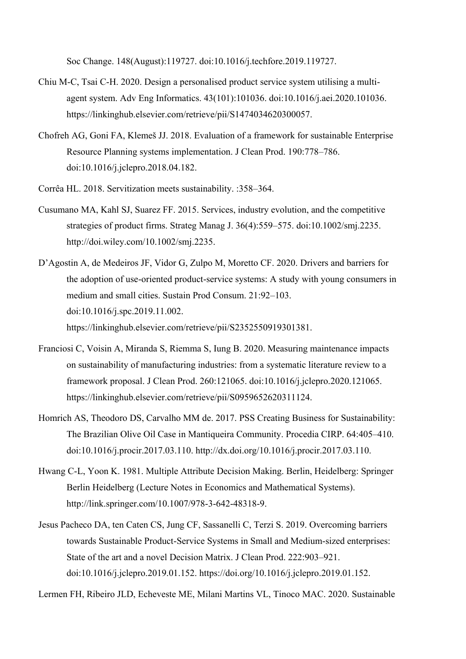Soc Change. 148(August):119727. doi:10.1016/j.techfore.2019.119727.

- Chiu M-C, Tsai C-H. 2020. Design a personalised product service system utilising a multiagent system. Adv Eng Informatics. 43(101):101036. doi:10.1016/j.aei.2020.101036. https://linkinghub.elsevier.com/retrieve/pii/S1474034620300057.
- Chofreh AG, Goni FA, Klemeš JJ. 2018. Evaluation of a framework for sustainable Enterprise Resource Planning systems implementation. J Clean Prod. 190:778–786. doi:10.1016/j.jclepro.2018.04.182.
- Corrêa HL. 2018. Servitization meets sustainability. :358–364.
- Cusumano MA, Kahl SJ, Suarez FF. 2015. Services, industry evolution, and the competitive strategies of product firms. Strateg Manag J. 36(4):559–575. doi:10.1002/smj.2235. http://doi.wiley.com/10.1002/smj.2235.
- D'Agostin A, de Medeiros JF, Vidor G, Zulpo M, Moretto CF. 2020. Drivers and barriers for the adoption of use-oriented product-service systems: A study with young consumers in medium and small cities. Sustain Prod Consum. 21:92–103. doi:10.1016/j.spc.2019.11.002. https://linkinghub.elsevier.com/retrieve/pii/S2352550919301381.
- Franciosi C, Voisin A, Miranda S, Riemma S, Iung B. 2020. Measuring maintenance impacts on sustainability of manufacturing industries: from a systematic literature review to a framework proposal. J Clean Prod. 260:121065. doi:10.1016/j.jclepro.2020.121065. https://linkinghub.elsevier.com/retrieve/pii/S0959652620311124.
- Homrich AS, Theodoro DS, Carvalho MM de. 2017. PSS Creating Business for Sustainability: The Brazilian Olive Oil Case in Mantiqueira Community. Procedia CIRP. 64:405–410. doi:10.1016/j.procir.2017.03.110. http://dx.doi.org/10.1016/j.procir.2017.03.110.
- Hwang C-L, Yoon K. 1981. Multiple Attribute Decision Making. Berlin, Heidelberg: Springer Berlin Heidelberg (Lecture Notes in Economics and Mathematical Systems). http://link.springer.com/10.1007/978-3-642-48318-9.
- Jesus Pacheco DA, ten Caten CS, Jung CF, Sassanelli C, Terzi S. 2019. Overcoming barriers towards Sustainable Product-Service Systems in Small and Medium-sized enterprises: State of the art and a novel Decision Matrix. J Clean Prod. 222:903–921. doi:10.1016/j.jclepro.2019.01.152. https://doi.org/10.1016/j.jclepro.2019.01.152.

Lermen FH, Ribeiro JLD, Echeveste ME, Milani Martins VL, Tinoco MAC. 2020. Sustainable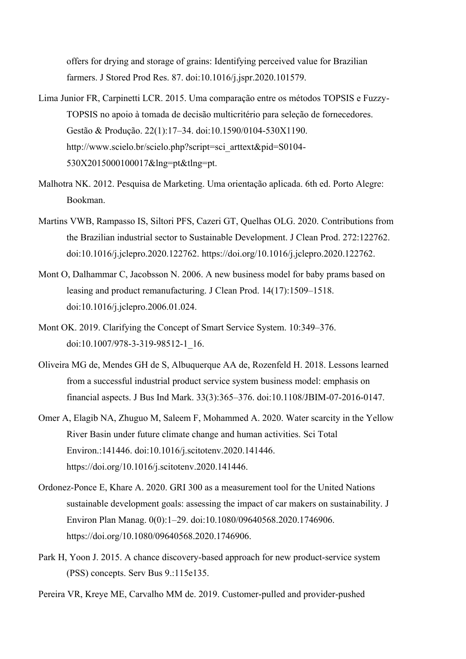offers for drying and storage of grains: Identifying perceived value for Brazilian farmers. J Stored Prod Res. 87. doi:10.1016/j.jspr.2020.101579.

- Lima Junior FR, Carpinetti LCR. 2015. Uma comparação entre os métodos TOPSIS e Fuzzy-TOPSIS no apoio à tomada de decisão multicritério para seleção de fornecedores. Gestão & Produção. 22(1):17–34. doi:10.1590/0104-530X1190. http://www.scielo.br/scielo.php?script=sci\_arttext&pid=S0104-530X2015000100017&lng=pt&tlng=pt.
- Malhotra NK. 2012. Pesquisa de Marketing. Uma orientação aplicada. 6th ed. Porto Alegre: Bookman.
- Martins VWB, Rampasso IS, Siltori PFS, Cazeri GT, Quelhas OLG. 2020. Contributions from the Brazilian industrial sector to Sustainable Development. J Clean Prod. 272:122762. doi:10.1016/j.jclepro.2020.122762. https://doi.org/10.1016/j.jclepro.2020.122762.
- Mont O, Dalhammar C, Jacobsson N. 2006. A new business model for baby prams based on leasing and product remanufacturing. J Clean Prod. 14(17):1509–1518. doi:10.1016/j.jclepro.2006.01.024.
- Mont OK. 2019. Clarifying the Concept of Smart Service System. 10:349–376. doi:10.1007/978-3-319-98512-1\_16.
- Oliveira MG de, Mendes GH de S, Albuquerque AA de, Rozenfeld H. 2018. Lessons learned from a successful industrial product service system business model: emphasis on financial aspects. J Bus Ind Mark. 33(3):365–376. doi:10.1108/JBIM-07-2016-0147.
- Omer A, Elagib NA, Zhuguo M, Saleem F, Mohammed A. 2020. Water scarcity in the Yellow River Basin under future climate change and human activities. Sci Total Environ.:141446. doi:10.1016/j.scitotenv.2020.141446. https://doi.org/10.1016/j.scitotenv.2020.141446.
- Ordonez-Ponce E, Khare A. 2020. GRI 300 as a measurement tool for the United Nations sustainable development goals: assessing the impact of car makers on sustainability. J Environ Plan Manag. 0(0):1–29. doi:10.1080/09640568.2020.1746906. https://doi.org/10.1080/09640568.2020.1746906.
- Park H, Yoon J. 2015. A chance discovery-based approach for new product-service system (PSS) concepts. Serv Bus 9.:115e135.
- Pereira VR, Kreye ME, Carvalho MM de. 2019. Customer-pulled and provider-pushed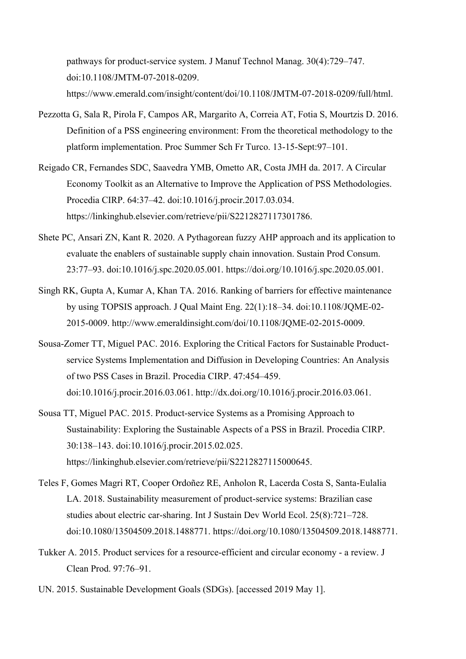pathways for product-service system. J Manuf Technol Manag. 30(4):729–747. doi:10.1108/JMTM-07-2018-0209. https://www.emerald.com/insight/content/doi/10.1108/JMTM-07-2018-0209/full/html.

- Pezzotta G, Sala R, Pirola F, Campos AR, Margarito A, Correia AT, Fotia S, Mourtzis D. 2016. Definition of a PSS engineering environment: From the theoretical methodology to the platform implementation. Proc Summer Sch Fr Turco. 13-15-Sept:97–101.
- Reigado CR, Fernandes SDC, Saavedra YMB, Ometto AR, Costa JMH da. 2017. A Circular Economy Toolkit as an Alternative to Improve the Application of PSS Methodologies. Procedia CIRP. 64:37–42. doi:10.1016/j.procir.2017.03.034. https://linkinghub.elsevier.com/retrieve/pii/S2212827117301786.
- Shete PC, Ansari ZN, Kant R. 2020. A Pythagorean fuzzy AHP approach and its application to evaluate the enablers of sustainable supply chain innovation. Sustain Prod Consum. 23:77–93. doi:10.1016/j.spc.2020.05.001. https://doi.org/10.1016/j.spc.2020.05.001.
- Singh RK, Gupta A, Kumar A, Khan TA. 2016. Ranking of barriers for effective maintenance by using TOPSIS approach. J Qual Maint Eng. 22(1):18–34. doi:10.1108/JQME-02- 2015-0009. http://www.emeraldinsight.com/doi/10.1108/JQME-02-2015-0009.
- Sousa-Zomer TT, Miguel PAC. 2016. Exploring the Critical Factors for Sustainable Productservice Systems Implementation and Diffusion in Developing Countries: An Analysis of two PSS Cases in Brazil. Procedia CIRP. 47:454–459. doi:10.1016/j.procir.2016.03.061. http://dx.doi.org/10.1016/j.procir.2016.03.061.
- Sousa TT, Miguel PAC. 2015. Product-service Systems as a Promising Approach to Sustainability: Exploring the Sustainable Aspects of a PSS in Brazil. Procedia CIRP. 30:138–143. doi:10.1016/j.procir.2015.02.025. https://linkinghub.elsevier.com/retrieve/pii/S2212827115000645.
- Teles F, Gomes Magri RT, Cooper Ordoñez RE, Anholon R, Lacerda Costa S, Santa-Eulalia LA. 2018. Sustainability measurement of product-service systems: Brazilian case studies about electric car-sharing. Int J Sustain Dev World Ecol. 25(8):721–728. doi:10.1080/13504509.2018.1488771. https://doi.org/10.1080/13504509.2018.1488771.
- Tukker A. 2015. Product services for a resource-efficient and circular economy a review. J Clean Prod. 97:76–91.
- UN. 2015. Sustainable Development Goals (SDGs). [accessed 2019 May 1].